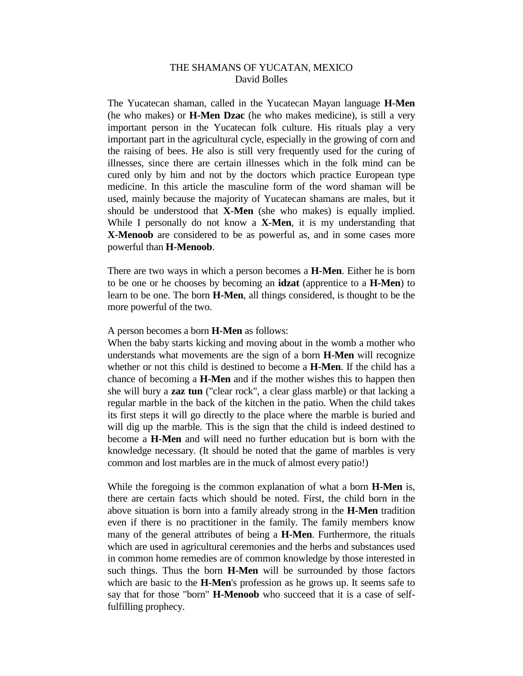## THE SHAMANS OF YUCATAN, MEXICO David Bolles

The Yucatecan shaman, called in the Yucatecan Mayan language **H-Men** (he who makes) or **H-Men Dzac** (he who makes medicine), is still a very important person in the Yucatecan folk culture. His rituals play a very important part in the agricultural cycle, especially in the growing of corn and the raising of bees. He also is still very frequently used for the curing of illnesses, since there are certain illnesses which in the folk mind can be cured only by him and not by the doctors which practice European type medicine. In this article the masculine form of the word shaman will be used, mainly because the majority of Yucatecan shamans are males, but it should be understood that **X-Men** (she who makes) is equally implied. While I personally do not know a **X-Men**, it is my understanding that **X-Menoob** are considered to be as powerful as, and in some cases more powerful than **H-Menoob**.

There are two ways in which a person becomes a **H-Men**. Either he is born to be one or he chooses by becoming an **idzat** (apprentice to a **H-Men**) to learn to be one. The born **H-Men**, all things considered, is thought to be the more powerful of the two.

A person becomes a born **H-Men** as follows:

When the baby starts kicking and moving about in the womb a mother who understands what movements are the sign of a born **H-Men** will recognize whether or not this child is destined to become a **H-Men**. If the child has a chance of becoming a **H-Men** and if the mother wishes this to happen then she will bury a **zaz tun** ("clear rock", a clear glass marble) or that lacking a regular marble in the back of the kitchen in the patio. When the child takes its first steps it will go directly to the place where the marble is buried and will dig up the marble. This is the sign that the child is indeed destined to become a **H-Men** and will need no further education but is born with the knowledge necessary. (It should be noted that the game of marbles is very common and lost marbles are in the muck of almost every patio!)

While the foregoing is the common explanation of what a born **H-Men** is, there are certain facts which should be noted. First, the child born in the above situation is born into a family already strong in the **H-Men** tradition even if there is no practitioner in the family. The family members know many of the general attributes of being a **H-Men**. Furthermore, the rituals which are used in agricultural ceremonies and the herbs and substances used in common home remedies are of common knowledge by those interested in such things. Thus the born **H-Men** will be surrounded by those factors which are basic to the **H-Men**'s profession as he grows up. It seems safe to say that for those "born" **H-Menoob** who succeed that it is a case of selffulfilling prophecy.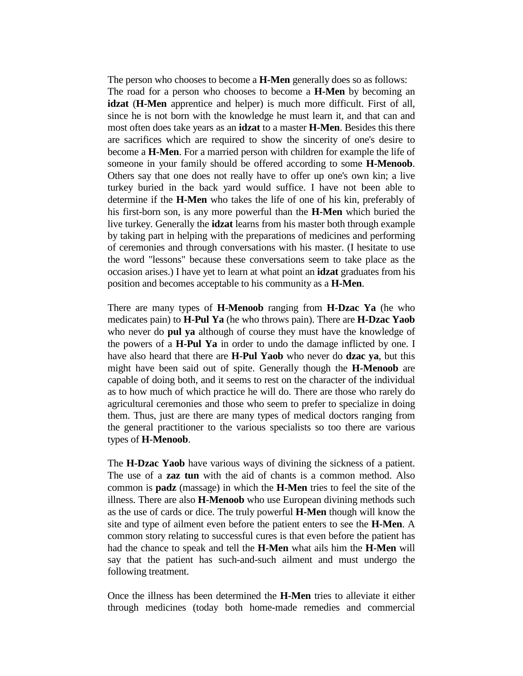The person who chooses to become a **H-Men** generally does so as follows: The road for a person who chooses to become a **H-Men** by becoming an **idzat** (**H-Men** apprentice and helper) is much more difficult. First of all, since he is not born with the knowledge he must learn it, and that can and most often does take years as an **idzat** to a master **H-Men**. Besides this there are sacrifices which are required to show the sincerity of one's desire to become a **H-Men**. For a married person with children for example the life of someone in your family should be offered according to some **H-Menoob**. Others say that one does not really have to offer up one's own kin; a live turkey buried in the back yard would suffice. I have not been able to determine if the **H-Men** who takes the life of one of his kin, preferably of his first-born son, is any more powerful than the **H-Men** which buried the live turkey. Generally the **idzat** learns from his master both through example by taking part in helping with the preparations of medicines and performing of ceremonies and through conversations with his master. (I hesitate to use the word "lessons" because these conversations seem to take place as the occasion arises.) I have yet to learn at what point an **idzat** graduates from his position and becomes acceptable to his community as a **H-Men**.

There are many types of **H-Menoob** ranging from **H-Dzac Ya** (he who medicates pain) to **H-Pul Ya** (he who throws pain). There are **H-Dzac Yaob** who never do **pul ya** although of course they must have the knowledge of the powers of a **H-Pul Ya** in order to undo the damage inflicted by one. I have also heard that there are **H-Pul Yaob** who never do **dzac ya**, but this might have been said out of spite. Generally though the **H-Menoob** are capable of doing both, and it seems to rest on the character of the individual as to how much of which practice he will do. There are those who rarely do agricultural ceremonies and those who seem to prefer to specialize in doing them. Thus, just are there are many types of medical doctors ranging from the general practitioner to the various specialists so too there are various types of **H-Menoob**.

The **H-Dzac Yaob** have various ways of divining the sickness of a patient. The use of a **zaz tun** with the aid of chants is a common method. Also common is **padz** (massage) in which the **H-Men** tries to feel the site of the illness. There are also **H-Menoob** who use European divining methods such as the use of cards or dice. The truly powerful **H-Men** though will know the site and type of ailment even before the patient enters to see the **H-Men**. A common story relating to successful cures is that even before the patient has had the chance to speak and tell the **H-Men** what ails him the **H-Men** will say that the patient has such-and-such ailment and must undergo the following treatment.

Once the illness has been determined the **H-Men** tries to alleviate it either through medicines (today both home-made remedies and commercial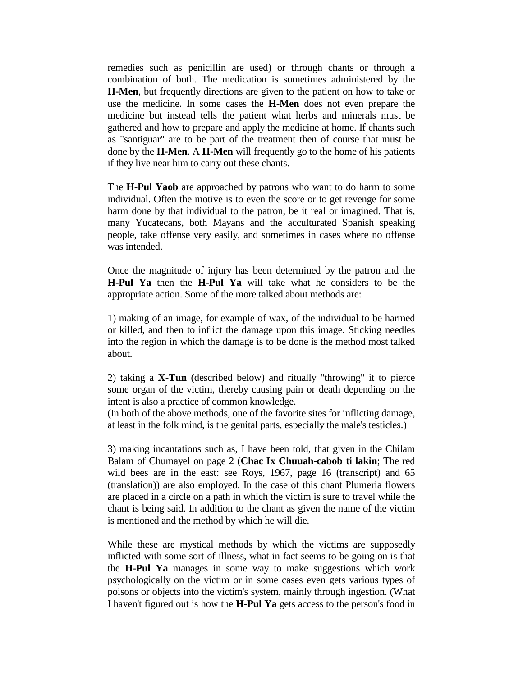remedies such as penicillin are used) or through chants or through a combination of both. The medication is sometimes administered by the **H-Men**, but frequently directions are given to the patient on how to take or use the medicine. In some cases the **H-Men** does not even prepare the medicine but instead tells the patient what herbs and minerals must be gathered and how to prepare and apply the medicine at home. If chants such as "santiguar" are to be part of the treatment then of course that must be done by the **H-Men**. A **H-Men** will frequently go to the home of his patients if they live near him to carry out these chants.

The **H-Pul Yaob** are approached by patrons who want to do harm to some individual. Often the motive is to even the score or to get revenge for some harm done by that individual to the patron, be it real or imagined. That is, many Yucatecans, both Mayans and the acculturated Spanish speaking people, take offense very easily, and sometimes in cases where no offense was intended.

Once the magnitude of injury has been determined by the patron and the **H-Pul Ya** then the **H-Pul Ya** will take what he considers to be the appropriate action. Some of the more talked about methods are:

1) making of an image, for example of wax, of the individual to be harmed or killed, and then to inflict the damage upon this image. Sticking needles into the region in which the damage is to be done is the method most talked about.

2) taking a **X-Tun** (described below) and ritually "throwing" it to pierce some organ of the victim, thereby causing pain or death depending on the intent is also a practice of common knowledge.

(In both of the above methods, one of the favorite sites for inflicting damage, at least in the folk mind, is the genital parts, especially the male's testicles.)

3) making incantations such as, I have been told, that given in the Chilam Balam of Chumayel on page 2 (**Chac Ix Chuuah-cabob ti lakin**; The red wild bees are in the east: see Roys, 1967, page 16 (transcript) and 65 (translation)) are also employed. In the case of this chant Plumeria flowers are placed in a circle on a path in which the victim is sure to travel while the chant is being said. In addition to the chant as given the name of the victim is mentioned and the method by which he will die.

While these are mystical methods by which the victims are supposedly inflicted with some sort of illness, what in fact seems to be going on is that the **H-Pul Ya** manages in some way to make suggestions which work psychologically on the victim or in some cases even gets various types of poisons or objects into the victim's system, mainly through ingestion. (What I haven't figured out is how the **H-Pul Ya** gets access to the person's food in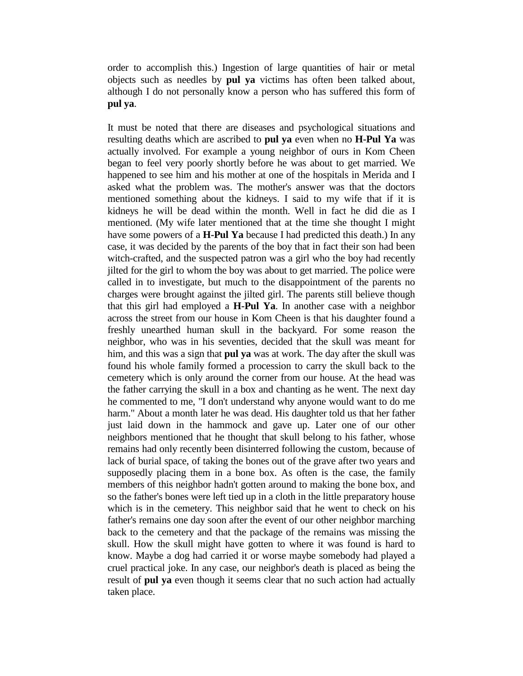order to accomplish this.) Ingestion of large quantities of hair or metal objects such as needles by **pul ya** victims has often been talked about, although I do not personally know a person who has suffered this form of **pul ya**.

It must be noted that there are diseases and psychological situations and resulting deaths which are ascribed to **pul ya** even when no **H-Pul Ya** was actually involved. For example a young neighbor of ours in Kom Cħeen began to feel very poorly shortly before he was about to get married. We happened to see him and his mother at one of the hospitals in Merida and I asked what the problem was. The mother's answer was that the doctors mentioned something about the kidneys. I said to my wife that if it is kidneys he will be dead within the month. Well in fact he did die as I mentioned. (My wife later mentioned that at the time she thought I might have some powers of a **H-Pul Ya** because I had predicted this death.) In any case, it was decided by the parents of the boy that in fact their son had been witch-crafted, and the suspected patron was a girl who the boy had recently jilted for the girl to whom the boy was about to get married. The police were called in to investigate, but much to the disappointment of the parents no charges were brought against the jilted girl. The parents still believe though that this girl had employed a **H-Pul Ya**. In another case with a neighbor across the street from our house in Kom Cħeen is that his daughter found a freshly unearthed human skull in the backyard. For some reason the neighbor, who was in his seventies, decided that the skull was meant for him, and this was a sign that **pul ya** was at work. The day after the skull was found his whole family formed a procession to carry the skull back to the cemetery which is only around the corner from our house. At the head was the father carrying the skull in a box and chanting as he went. The next day he commented to me, "I don't understand why anyone would want to do me harm." About a month later he was dead. His daughter told us that her father just laid down in the hammock and gave up. Later one of our other neighbors mentioned that he thought that skull belong to his father, whose remains had only recently been disinterred following the custom, because of lack of burial space, of taking the bones out of the grave after two years and supposedly placing them in a bone box. As often is the case, the family members of this neighbor hadn't gotten around to making the bone box, and so the father's bones were left tied up in a cloth in the little preparatory house which is in the cemetery. This neighbor said that he went to check on his father's remains one day soon after the event of our other neighbor marching back to the cemetery and that the package of the remains was missing the skull. How the skull might have gotten to where it was found is hard to know. Maybe a dog had carried it or worse maybe somebody had played a cruel practical joke. In any case, our neighbor's death is placed as being the result of **pul ya** even though it seems clear that no such action had actually taken place.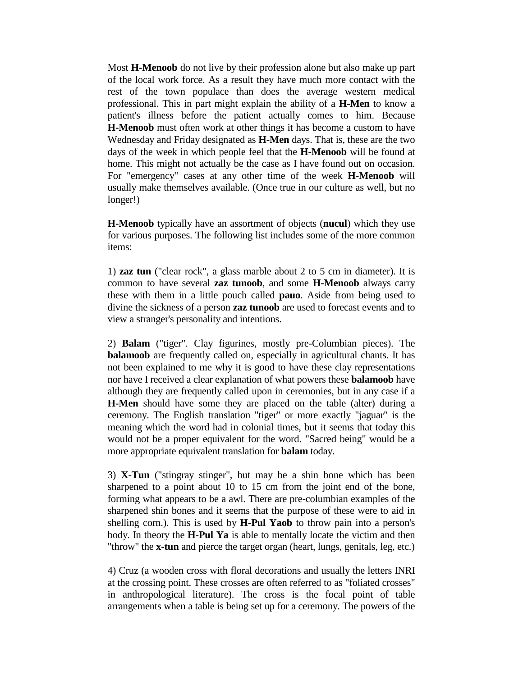Most **H-Menoob** do not live by their profession alone but also make up part of the local work force. As a result they have much more contact with the rest of the town populace than does the average western medical professional. This in part might explain the ability of a **H-Men** to know a patient's illness before the patient actually comes to him. Because **H-Menoob** must often work at other things it has become a custom to have Wednesday and Friday designated as **H-Men** days. That is, these are the two days of the week in which people feel that the **H-Menoob** will be found at home. This might not actually be the case as I have found out on occasion. For "emergency" cases at any other time of the week **H-Menoob** will usually make themselves available. (Once true in our culture as well, but no longer!)

**H-Menoob** typically have an assortment of objects (**nucul**) which they use for various purposes. The following list includes some of the more common items:

1) **zaz tun** ("clear rock", a glass marble about 2 to 5 cm in diameter). It is common to have several **zaz tunoob**, and some **H-Menoob** always carry these with them in a little pouch called **pauo**. Aside from being used to divine the sickness of a person **zaz tunoob** are used to forecast events and to view a stranger's personality and intentions.

2) **Balam** ("tiger". Clay figurines, mostly pre-Columbian pieces). The **balamoob** are frequently called on, especially in agricultural chants. It has not been explained to me why it is good to have these clay representations nor have I received a clear explanation of what powers these **balamoob** have although they are frequently called upon in ceremonies, but in any case if a **H-Men** should have some they are placed on the table (alter) during a ceremony. The English translation "tiger" or more exactly "jaguar" is the meaning which the word had in colonial times, but it seems that today this would not be a proper equivalent for the word. "Sacred being" would be a more appropriate equivalent translation for **balam** today.

3) **X-Tun** ("stingray stinger", but may be a shin bone which has been sharpened to a point about 10 to 15 cm from the joint end of the bone, forming what appears to be a awl. There are pre-columbian examples of the sharpened shin bones and it seems that the purpose of these were to aid in shelling corn.). This is used by **H-Pul Yaob** to throw pain into a person's body. In theory the **H-Pul Ya** is able to mentally locate the victim and then "throw" the **x-tun** and pierce the target organ (heart, lungs, genitals, leg, etc.)

4) Cruz (a wooden cross with floral decorations and usually the letters INRI at the crossing point. These crosses are often referred to as "foliated crosses" in anthropological literature). The cross is the focal point of table arrangements when a table is being set up for a ceremony. The powers of the